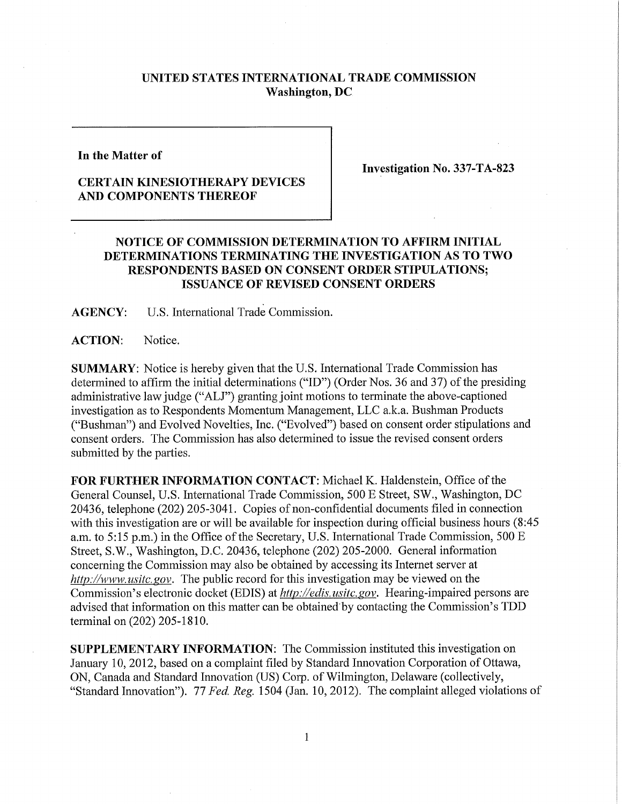## **UNITED STATES INTERNATIONAL TRADE COMMISSION Washington, DC**

**In the Matter of** 

## **CERTAIN KINESIOTHERAPY DEVICES AND COMPONENTS THEREOF**

**Investigation No. 337-TA-823** 

## **NOTICE OF COMMISSION DETERMINATION TO AFFIRM INITIAL DETERMINATIONS TERMINATING THE INVESTIGATION AS TO TWO RESPONDENTS BASED ON CONSENT ORDER STIPULATIONS; ISSUANCE OF REVISED CONSENT ORDERS**

**AGENCY: U.S.** International Trade Commission.

**ACTION:** Notice.

**SUMMARY:** Notice is hereby given that the U.S. International Trade Commission has determined to affirm the initial determinations ("ID") (Order Nos. 36 and 37) of the presiding administrative law judge ("ALJ") granting joint motions to terminate the above-captioned investigation as to Respondents Momentum Management, LLC a.k.a. Bushman Products ("Bushman") and Evolved Novelties, Inc. ("Evolved") based on consent order stipulations and consent orders. The Commission has also determined to issue the revised consent orders submitted by the parties.

FOR FURTHER INFORMATION CONTACT: Michael K. Haldenstein, Office of the General Counsel, U.S. International Trade Commission, 500 E Street, SW., Washington, DC 20436, telephone (202) 205-3041. Copies of non-confidential documents filed in connection with this investigation are or will be available for inspection during official business hours (8:45 a.m. to 5:15 p.m.) in the Office of the Secretary, U.S. International Trade Commission, 500 E Street, S.W., Washington, D.C. 20436, telephone (202) 205-2000. General infonnation concerning the Commission may also be obtained by accessing its Internet server at *http://www. usitc. gov.* The public record for this investigation may be viewed on the Commission's electronic docket (EDIS) at *http://edis. usitc.gov.* Hearing-impaired persons are advised that information on this matter can be obtained by contacting the Commission's TDD terminal on (202) 205-1810.

**SUPPLEMENTARY INFORMATION:** The Commission instituted this investigation on January 10, 2012, based on a complaint filed by Standard Innovation Corporation of Ottawa, ON, Canada and Standard Innovation (US) Corp. of Wilmington, Delaware (collectively, "Standard Innovation"). *11 Fed, Reg.* 1504 (Jan. 10, 2012). The complaint alleged violations of